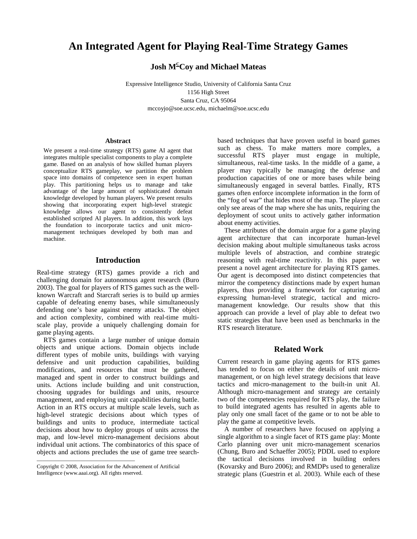# **An Integrated Agent for Playing Real-Time Strategy Games**

**Josh M<sup>C</sup>Coy and Michael Mateas** 

Expressive Intelligence Studio, University of California Santa Cruz 1156 High Street Santa Cruz, CA 95064 mccoyjo@soe.ucsc.edu, michaelm@soe.ucsc.edu

#### **Abstract**

We present a real-time strategy (RTS) game AI agent that integrates multiple specialist components to play a complete game. Based on an analysis of how skilled human players conceptualize RTS gameplay, we partition the problem space into domains of competence seen in expert human play. This partitioning helps us to manage and take advantage of the large amount of sophisticated domain knowledge developed by human players. We present results showing that incorporating expert high-level strategic knowledge allows our agent to consistently defeat established scripted AI players. In addition, this work lays the foundation to incorporate tactics and unit micromanagement techniques developed by both man and machine.

#### **Introduction**

Real-time strategy (RTS) games provide a rich and challenging domain for autonomous agent research (Buro 2003). The goal for players of RTS games such as the wellknown Warcraft and Starcraft series is to build up armies capable of defeating enemy bases, while simultaneously defending one's base against enemy attacks. The object and action complexity, combined with real-time multiscale play, provide a uniquely challenging domain for game playing agents.

 RTS games contain a large number of unique domain objects and unique actions. Domain objects include different types of mobile units, buildings with varying defensive and unit production capabilities, building modifications, and resources that must be gathered, managed and spent in order to construct buildings and units. Actions include building and unit construction, choosing upgrades for buildings and units, resource management, and employing unit capabilities during battle. Action in an RTS occurs at multiple scale levels, such as high-level strategic decisions about which types of buildings and units to produce, intermediate tactical decisions about how to deploy groups of units across the map, and low-level micro-management decisions about individual unit actions. The combinatorics of this space of objects and actions precludes the use of game tree search-

——————————————————

based techniques that have proven useful in board games such as chess. To make matters more complex, a successful RTS player must engage in multiple, simultaneous, real-time tasks. In the middle of a game, a player may typically be managing the defense and production capacities of one or more bases while being simultaneously engaged in several battles. Finally, RTS games often enforce incomplete information in the form of the "fog of war" that hides most of the map. The player can only see areas of the map where she has units, requiring the deployment of scout units to actively gather information about enemy activities.

 These attributes of the domain argue for a game playing agent architecture that can incorporate human-level decision making about multiple simultaneous tasks across multiple levels of abstraction, and combine strategic reasoning with real-time reactivity. In this paper we present a novel agent architecture for playing RTS games. Our agent is decomposed into distinct competencies that mirror the competency distinctions made by expert human players, thus providing a framework for capturing and expressing human-level strategic, tactical and micromanagement knowledge. Our results show that this approach can provide a level of play able to defeat two static strategies that have been used as benchmarks in the RTS research literature.

# **Related Work**

Current research in game playing agents for RTS games has tended to focus on either the details of unit micromanagement, or on high level strategy decisions that leave tactics and micro-management to the built-in unit AI. Although micro-management and strategy are certainly two of the competencies required for RTS play, the failure to build integrated agents has resulted in agents able to play only one small facet of the game or to not be able to play the game at competitive levels.

 A number of researchers have focused on applying a single algorithm to a single facet of RTS game play: Monte Carlo planning over unit micro-management scenarios (Chung, Buro and Schaeffer 2005); PDDL used to explore the tactical decisions involved in building orders (Kovarsky and Buro 2006); and RMDPs used to generalize strategic plans (Guestrin et al. 2003). While each of these

Copyright © 2008, Association for the Advancement of Artificial Intelligence (www.aaai.org). All rights reserved.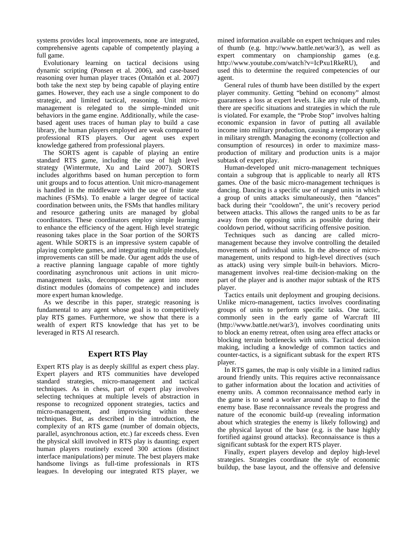systems provides local improvements, none are integrated, comprehensive agents capable of competently playing a full game.

 Evolutionary learning on tactical decisions using dynamic scripting (Ponsen et al. 2006), and case-based reasoning over human player traces (Ontañón et al. 2007) both take the next step by being capable of playing entire games. However, they each use a single component to do strategic, and limited tactical, reasoning. Unit micromanagement is relegated to the simple-minded unit behaviors in the game engine. Additionally, while the casebased agent uses traces of human play to build a case library, the human players employed are weak compared to professional RTS players. Our agent uses expert knowledge gathered from professional players.

 The SORTS agent is capable of playing an entire standard RTS game, including the use of high level strategy (Wintermute, Xu and Laird 2007). SORTS includes algorithms based on human perception to form unit groups and to focus attention. Unit micro-management is handled in the middleware with the use of finite state machines (FSMs). To enable a larger degree of tactical coordination between units, the FSMs that handles military and resource gathering units are managed by global coordinators. These coordinators employ simple learning to enhance the efficiency of the agent. High level strategic reasoning takes place in the Soar portion of the SORTS agent. While SORTS is an impressive system capable of playing complete games, and integrating multiple modules, improvements can still be made. Our agent adds the use of a reactive planning language capable of more tightly coordinating asynchronous unit actions in unit micromanagement tasks, decomposes the agent into more distinct modules (domains of competence) and includes more expert human knowledge.

 As we describe in this paper, strategic reasoning is fundamental to any agent whose goal is to competitively play RTS games. Furthermore, we show that there is a wealth of expert RTS knowledge that has yet to be leveraged in RTS AI research.

## **Expert RTS Play**

Expert RTS play is as deeply skillful as expert chess play. Expert players and RTS communities have developed standard strategies, micro-management and tactical techniques. As in chess, part of expert play involves selecting techniques at multiple levels of abstraction in response to recognized opponent strategies, tactics and micro-management, and improvising within these techniques. But, as described in the introduction, the complexity of an RTS game (number of domain objects, parallel, asynchronous action, etc.) far exceeds chess. Even the physical skill involved in RTS play is daunting; expert human players routinely exceed 300 actions (distinct interface manipulations) per minute. The best players make handsome livings as full-time professionals in RTS leagues. In developing our integrated RTS player, we mined information available on expert techniques and rules of thumb (e.g. http://www.battle.net/war3/), as well as expert commentary on championship games (e.g. http://www.youtube.com/watch?v=IcPxu1RkeRU), and used this to determine the required competencies of our agent.

 General rules of thumb have been distilled by the expert player community. Getting "behind on economy" almost guarantees a loss at expert levels. Like any rule of thumb, there are specific situations and strategies in which the rule is violated. For example, the "Probe Stop" involves halting economic expansion in favor of putting all available income into military production, causing a temporary spike in military strength. Managing the economy (collection and consumption of resources) in order to maximize massproduction of military and production units is a major subtask of expert play.

 Human-developed unit micro-management techniques contain a subgroup that is applicable to nearly all RTS games. One of the basic micro-management techniques is dancing. Dancing is a specific use of ranged units in which a group of units attacks simultaneously, then "dances" back during their "cooldown", the unit's recovery period between attacks. This allows the ranged units to be as far away from the opposing units as possible during their cooldown period, without sacrificing offensive position.

 Techniques such as dancing are called micromanagement because they involve controlling the detailed movements of individual units. In the absence of micromanagement, units respond to high-level directives (such as attack) using very simple built-in behaviors. Micromanagement involves real-time decision-making on the part of the player and is another major subtask of the RTS player.

 Tactics entails unit deployment and grouping decisions. Unlike micro-management, tactics involves coordinating groups of units to perform specific tasks. One tactic, commonly seen in the early game of Warcraft III (http://www.battle.net/war3/), involves coordinating units to block an enemy retreat, often using area effect attacks or blocking terrain bottlenecks with units. Tactical decision making, including a knowledge of common tactics and counter-tactics, is a significant subtask for the expert RTS player.

 In RTS games, the map is only visible in a limited radius around friendly units. This requires active reconnaissance to gather information about the location and activities of enemy units. A common reconnaissance method early in the game is to send a worker around the map to find the enemy base. Base reconnaissance reveals the progress and nature of the economic build-up (revealing information about which strategies the enemy is likely following) and the physical layout of the base (e.g. is the base highly fortified against ground attacks). Reconnaissance is thus a significant subtask for the expert RTS player.

 Finally, expert players develop and deploy high-level strategies. Strategies coordinate the style of economic buildup, the base layout, and the offensive and defensive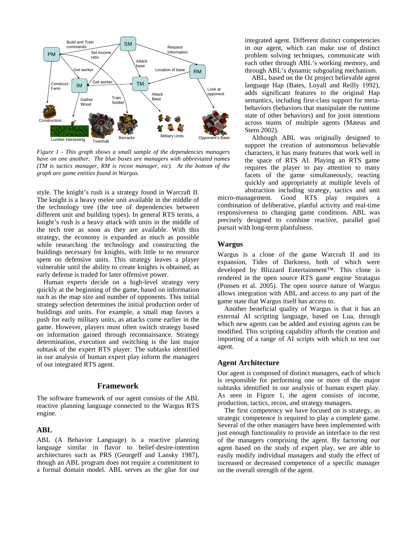

*Figure 1 - This graph shows a small sample of the dependencies managers have on one another. The blue boxes are managers with abbreviated names (TM is tactics manager, RM is recon manager, etc). At the bottom of the graph are game entities found in Wargus.*

style. The knight's rush is a strategy found in Warcraft II. The knight is a heavy melee unit available in the middle of the technology tree (the tree of dependencies between different unit and building types). In general RTS terms, a knight's rush is a heavy attack with units in the middle of the tech tree as soon as they are available. With this strategy, the economy is expanded as much as possible while researching the technology and constructing the buildings necessary for knights, with little to no resource spent on defensive units. This strategy leaves a player vulnerable until the ability to create knights is obtained, as early defense is traded for later offensive power.

 Human experts decide on a high-level strategy very quickly at the beginning of the game, based on information such as the map size and number of opponents. This initial strategy selection determines the initial production order of buildings and units. For example, a small map favors a push for early military units, as attacks come earlier in the game. However, players must often switch strategy based on information gained through reconnaissance. Strategy determination, execution and switching is the last major subtask of the expert RTS player. The subtasks identified in our analysis of human expert play inform the managers of our integrated RTS agent.

### **Framework**

The software framework of our agent consists of the ABL reactive planning language connected to the Wargus RTS engine.

## **ABL**

ABL (A Behavior Language) is a reactive planning language similar in flavor to belief-desire-intention architectures such as PRS (Georgeff and Lansky 1987), though an ABL program does not require a commitment to a formal domain model. ABL serves as the glue for our integrated agent. Different distinct competencies in our agent, which can make use of distinct problem solving techniques, communicate with each other through ABL's working memory, and through ABL's dynamic subgoaling mechanism.

 ABL, based on the Oz project believable agent language Hap (Bates, Loyall and Reilly 1992), adds significant features to the original Hap semantics, including first-class support for metabehaviors (behaviors that manipulate the runtime state of other behaviors) and for joint intentions across teams of multiple agents (Mateas and Stern 2002).

 Although ABL was originally designed to support the creation of autonomous believable characters, it has many features that work well in the space of RTS AI. Playing an RTS game requires the player to pay attention to many facets of the game simultaneously, reacting quickly and appropriately at multiple levels of abstraction including strategy, tactics and unit

micro-management. Good RTS play requires a combination of deliberative, planful activity and real-time responsiveness to changing game conditions. ABL was precisely designed to combine reactive, parallel goal pursuit with long-term planfulness.

#### **Wargus**

Wargus is a clone of the game Warcraft II and its expansion, Tides of Darkness, both of which were developed by Blizzard Entertainment™. This clone is rendered in the open source RTS game engine Stratagus (Ponsen et al. 2005). The open source nature of Wargus allows integration with ABL and access to any part of the game state that Wargus itself has access to.

 Another beneficial quality of Wargus is that it has an external AI scripting language, based on Lua, through which new agents can be added and existing agents can be modified. This scripting capability affords the creation and importing of a range of AI scripts with which to test our agent.

## **Agent Architecture**

Our agent is composed of distinct managers, each of which is responsible for performing one or more of the major subtasks identified in our analysis of human expert play. As seen in Figure 1, the agent consists of income, production, tactics, recon, and strategy managers.

 The first competency we have focused on is strategy, as strategic competence is required to play a complete game. Several of the other managers have been implemented with just enough functionality to provide an interface to the rest of the managers comprising the agent. By factoring our agent based on the study of expert play, we are able to easily modify individual managers and study the effect of increased or decreased competence of a specific manager on the overall strength of the agent.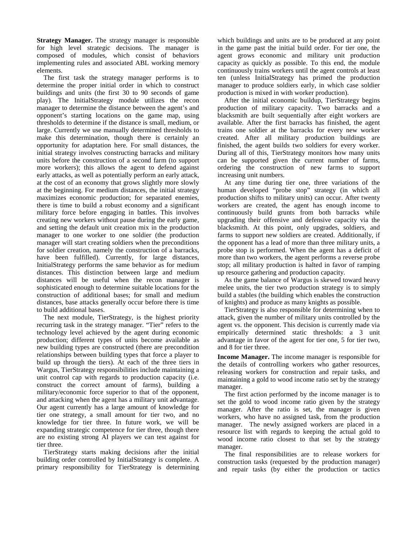**Strategy Manager.** The strategy manager is responsible for high level strategic decisions. The manager is composed of modules, which consist of behaviors implementing rules and associated ABL working memory elements.

 The first task the strategy manager performs is to determine the proper initial order in which to construct buildings and units (the first 30 to 90 seconds of game play). The InitialStrategy module utilizes the recon manager to determine the distance between the agent's and opponent's starting locations on the game map, using thresholds to determine if the distance is small, medium, or large. Currently we use manually determined thresholds to make this determination, though there is certainly an opportunity for adaptation here. For small distances, the initial strategy involves constructing barracks and military units before the construction of a second farm (to support more workers); this allows the agent to defend against early attacks, as well as potentially perform an early attack, at the cost of an economy that grows slightly more slowly at the beginning. For medium distances, the initial strategy maximizes economic production; for separated enemies, there is time to build a robust economy and a significant military force before engaging in battles. This involves creating new workers without pause during the early game, and setting the default unit creation mix in the production manager to one worker to one soldier (the production manager will start creating soldiers when the preconditions for soldier creation, namely the construction of a barracks, have been fulfilled). Currently, for large distances, InitialStrategy performs the same behavior as for medium distances. This distinction between large and medium distances will be useful when the recon manager is sophisticated enough to determine suitable locations for the construction of additional bases; for small and medium distances, base attacks generally occur before there is time to build additional bases.

 The next module, TierStrategy, is the highest priority recurring task in the strategy manager. "Tier" refers to the technology level achieved by the agent during economic production; different types of units become available as new building types are constructed (there are precondition relationships between building types that force a player to build up through the tiers). At each of the three tiers in Wargus, TierStrategy responsibilities include maintaining a unit control cap with regards to production capacity (i.e. construct the correct amount of farms), building a military/economic force superior to that of the opponent, and attacking when the agent has a military unit advantage. Our agent currently has a large amount of knowledge for tier one strategy, a small amount for tier two, and no knowledge for tier three. In future work, we will be expanding strategic competence for tier three, though there are no existing strong AI players we can test against for tier three.

 TierStrategy starts making decisions after the initial building order controlled by InitialStrategy is complete. A primary responsibility for TierStrategy is determining

which buildings and units are to be produced at any point in the game past the initial build order. For tier one, the agent grows economic and military unit production capacity as quickly as possible. To this end, the module continuously trains workers until the agent controls at least ten (unless InitialStrategy has primed the production manager to produce soldiers early, in which case soldier production is mixed in with worker production).

 After the initial economic buildup, TierStrategy begins production of military capacity. Two barracks and a blacksmith are built sequentially after eight workers are available. After the first barracks has finished, the agent trains one soldier at the barracks for every new worker created. After all military production buildings are finished, the agent builds two soldiers for every worker. During all of this, TierStrategy monitors how many units can be supported given the current number of farms, ordering the construction of new farms to support increasing unit numbers.

 At any time during tier one, three variations of the human developed "probe stop" strategy (in which all production shifts to military units) can occur. After twenty workers are created, the agent has enough income to continuously build grunts from both barracks while upgrading their offensive and defensive capacity via the blacksmith. At this point, only upgrades, soldiers, and farms to support new soldiers are created. Additionally, if the opponent has a lead of more than three military units, a probe stop is performed. When the agent has a deficit of more than two workers, the agent performs a reverse probe stop; all military production is halted in favor of ramping up resource gathering and production capacity.

 As the game balance of Wargus is skewed toward heavy melee units, the tier two production strategy is to simply build a stables (the building which enables the construction of knights) and produce as many knights as possible.

 TierStrategy is also responsible for determining when to attack, given the number of military units controlled by the agent vs. the opponent. This decision is currently made via empirically determined static thresholds: a 3 unit advantage in favor of the agent for tier one, 5 for tier two, and 8 for tier three.

**Income Manager.** The income manager is responsible for the details of controlling workers who gather resources, releasing workers for construction and repair tasks, and maintaining a gold to wood income ratio set by the strategy manager.

 The first action performed by the income manager is to set the gold to wood income ratio given by the strategy manager. After the ratio is set, the manager is given workers, who have no assigned task, from the production manager. The newly assigned workers are placed in a resource list with regards to keeping the actual gold to wood income ratio closest to that set by the strategy manager.

 The final responsibilities are to release workers for construction tasks (requested by the production manager) and repair tasks (by either the production or tactics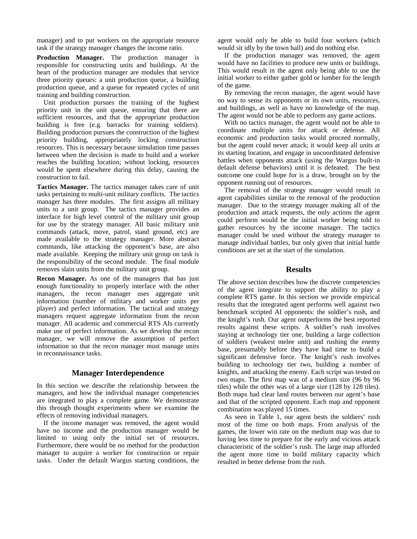manager) and to put workers on the appropriate resource task if the strategy manager changes the income ratio.

**Production Manager.** The production manager is responsible for constructing units and buildings. At the heart of the production manager are modules that service three priority queues: a unit production queue, a building production queue, and a queue for repeated cycles of unit training and building construction.

 Unit production pursues the training of the highest priority unit in the unit queue, ensuring that there are sufficient resources, and that the appropriate production building is free (e.g. barracks for training soldiers). Building production pursues the construction of the highest priority building, appropriately locking construction resources. This is necessary because simulation time passes between when the decision is made to build and a worker reaches the building location; without locking, resources would be spent elsewhere during this delay, causing the construction to fail.

**Tactics Manager.** The tactics manager takes care of unit tasks pertaining to multi-unit military conflicts. The tactics manager has three modules. The first assigns all military units to a unit group. The tactics manager provides an interface for high level control of the military unit group for use by the strategy manager. All basic military unit commands (attack, move, patrol, stand ground, etc) are made available to the strategy manager. More abstract commands, like attacking the opponent's base, are also made available. Keeping the military unit group on task is the responsibility of the second module. The final module removes slain units from the military unit group.

**Recon Manager.** As one of the managers that has just enough functionality to properly interface with the other managers, the recon manager uses aggregate unit information (number of military and worker units per player) and perfect information. The tactical and strategy managers request aggregate information from the recon manager. All academic and commercial RTS AIs currently make use of perfect information. As we develop the recon manager, we will remove the assumption of perfect information so that the recon manager must manage units in reconnaissance tasks.

# **Manager Interdependence**

In this section we describe the relationship between the managers, and how the individual manager competencies are integrated to play a complete game. We demonstrate this through thought experiments where we examine the effects of removing individual managers.

 If the income manager was removed, the agent would have no income and the production manager would be limited to using only the initial set of resources. Furthermore, there would be no method for the production manager to acquire a worker for construction or repair tasks. Under the default Wargus starting conditions, the agent would only be able to build four workers (which would sit idly by the town hall) and do nothing else.

 If the production manager was removed, the agent would have no facilities to produce new units or buildings. This would result in the agent only being able to use the initial worker to either gather gold or lumber for the length of the game.

 By removing the recon manager, the agent would have no way to sense its opponents or its own units, resources, and buildings, as well as have no knowledge of the map. The agent would not be able to perform any game actions.

 With no tactics manager, the agent would not be able to coordinate multiple units for attack or defense. All economic and production tasks would proceed normally, but the agent could never attack; it would keep all units at its starting location, and engage in uncoordinated defensive battles when opponents attack (using the Wargus built-in default defense behaviors) until it is defeated. The best outcome one could hope for is a draw, brought on by the opponent running out of resources.

 The removal of the strategy manager would result in agent capabilities similar to the removal of the production manager. Due to the strategy manager making all of the production and attack requests, the only actions the agent could perform would be the initial worker being told to gather resources by the income manager. The tactics manager could be used without the strategy manager to manage individual battles, but only given that initial battle conditions are set at the start of the simulation.

# **Results**

The above section describes how the discrete competencies of the agent integrate to support the ability to play a complete RTS game. In this section we provide empirical results that the integrated agent performs well against two benchmark scripted AI opponents: the soldier's rush, and the knight's rush. Our agent outperforms the best reported results against these scripts. A soldier's rush involves staying at technology tier one, building a large collection of soldiers (weakest melee unit) and rushing the enemy base, presumably before they have had time to build a significant defensive force. The knight's rush involves building to technology tier two, building a number of knights, and attacking the enemy. Each script was tested on two maps. The first map was of a medium size (96 by 96 tiles) while the other was of a large size (128 by 128 tiles). Both maps had clear land routes between our agent's base and that of the scripted opponent. Each map and opponent combination was played 15 times.

 As seen in Table 1, our agent bests the soldiers' rush most of the time on both maps. From analysis of the games, the lower win rate on the medium map was due to having less time to prepare for the early and vicious attack characteristic of the soldier's rush. The large map afforded the agent more time to build military capacity which resulted in better defense from the rush.